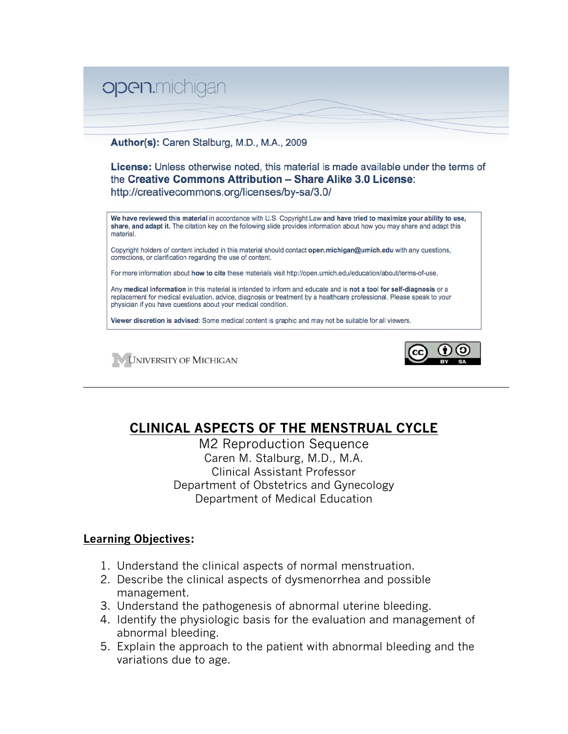

#### Author(s): Caren Stalburg, M.D., M.A., 2009

**License:** Unless otherwise noted, this material is made available under the terms of the Creative Commons Attribution - Share Alike 3.0 License: http://creativecommons.org/licenses/by-sa/3.0/

We have reviewed this material in accordance with U.S. Copyright Law and have tried to maximize your ability to use, share, and adapt it. The citation key on the following slide provides information about how you may share and adapt this material

Copyright holders of content included in this material should contact open.michigan@umich.edu with any questions, corrections, or clarification regarding the use of content.

For more information about how to cite these materials visit http://open.umich.edu/education/about/terms-of-use.

Any medical information in this material is intended to inform and educate and is not a tool for self-diagnosis or a replacement for medical evaluation, advice, diagnosis or treatment by a healthcare professional. Please speak to your physician if you have questions about your medical condition.

Viewer discretion is advised: Some medical content is graphic and may not be suitable for all viewers.





# **CLINICAL ASPECTS OF THE MENSTRUAL CYCLE**

M2 Reproduction Sequence Caren M. Stalburg, M.D., M.A. Clinical Assistant Professor Department of Obstetrics and Gynecology Department of Medical Education

### **Learning Objectives:**

- 1. Understand the clinical aspects of normal menstruation.
- 2. Describe the clinical aspects of dysmenorrhea and possible management.
- 3. Understand the pathogenesis of abnormal uterine bleeding.
- 4. Identify the physiologic basis for the evaluation and management of abnormal bleeding.
- 5. Explain the approach to the patient with abnormal bleeding and the variations due to age.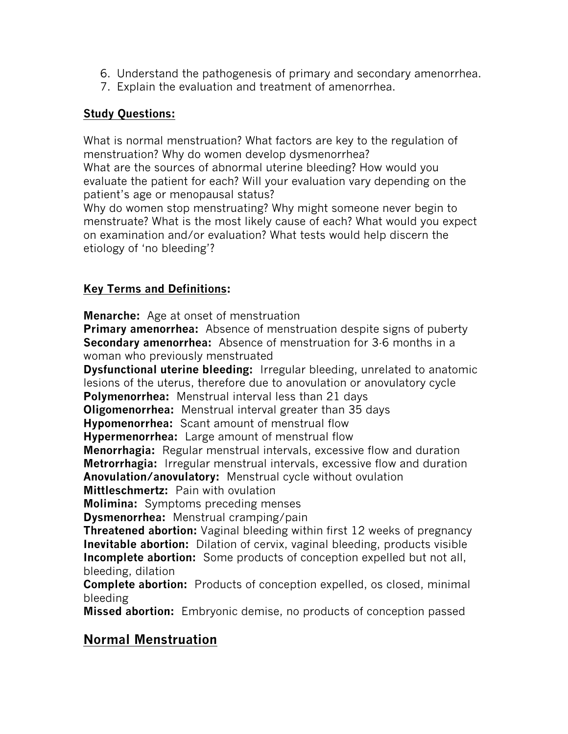- 6. Understand the pathogenesis of primary and secondary amenorrhea.
- 7. Explain the evaluation and treatment of amenorrhea.

# **Study Questions:**

What is normal menstruation? What factors are key to the regulation of menstruation? Why do women develop dysmenorrhea?

What are the sources of abnormal uterine bleeding? How would you evaluate the patient for each? Will your evaluation vary depending on the patient's age or menopausal status?

Why do women stop menstruating? Why might someone never begin to menstruate? What is the most likely cause of each? What would you expect on examination and/or evaluation? What tests would help discern the etiology of 'no bleeding'?

# **Key Terms and Definitions:**

**Menarche:** Age at onset of menstruation

**Primary amenorrhea:** Absence of menstruation despite signs of puberty **Secondary amenorrhea:** Absence of menstruation for 3-6 months in a woman who previously menstruated

**Dysfunctional uterine bleeding:** Irregular bleeding, unrelated to anatomic lesions of the uterus, therefore due to anovulation or anovulatory cycle

**Polymenorrhea:** Menstrual interval less than 21 days

**Oligomenorrhea:** Menstrual interval greater than 35 days

**Hypomenorrhea:** Scant amount of menstrual flow

**Hypermenorrhea:** Large amount of menstrual flow

**Menorrhagia:** Regular menstrual intervals, excessive flow and duration **Metrorrhagia:** Irregular menstrual intervals, excessive flow and duration **Anovulation/anovulatory:** Menstrual cycle without ovulation **Mittleschmertz:** Pain with ovulation

**Molimina:** Symptoms preceding menses

**Dysmenorrhea:** Menstrual cramping/pain

**Threatened abortion:** Vaginal bleeding within first 12 weeks of pregnancy **Inevitable abortion:** Dilation of cervix, vaginal bleeding, products visible **Incomplete abortion:** Some products of conception expelled but not all, bleeding, dilation

**Complete abortion:** Products of conception expelled, os closed, minimal bleeding

**Missed abortion:** Embryonic demise, no products of conception passed

# **Normal Menstruation**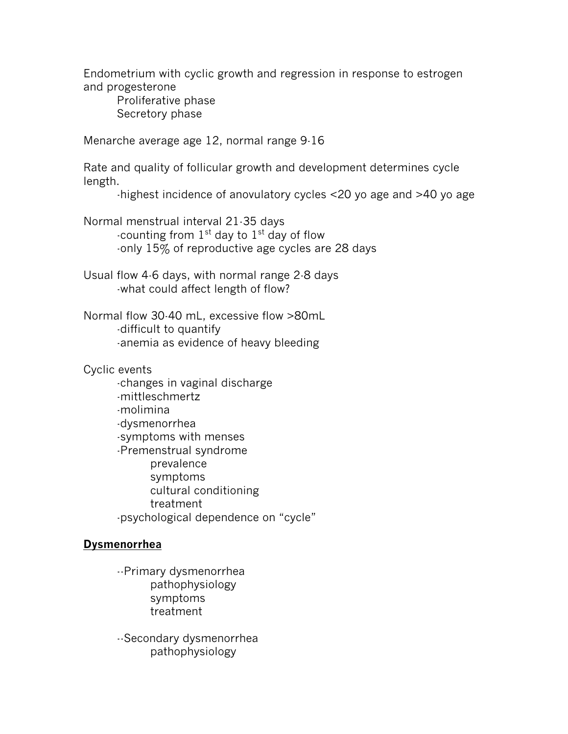Endometrium with cyclic growth and regression in response to estrogen and progesterone

Proliferative phase Secretory phase

Menarche average age 12, normal range 9-16

Rate and quality of follicular growth and development determines cycle length.

-highest incidence of anovulatory cycles <20 yo age and >40 yo age

Normal menstrual interval 21-35 days -counting from  $1<sup>st</sup>$  day to  $1<sup>st</sup>$  day of flow -only 15% of reproductive age cycles are 28 days

Usual flow 4-6 days, with normal range 2-8 days -what could affect length of flow?

Normal flow 30-40 mL, excessive flow >80mL -difficult to quantify -anemia as evidence of heavy bleeding

Cyclic events

-changes in vaginal discharge -mittleschmertz -molimina -dysmenorrhea -symptoms with menses -Premenstrual syndrome prevalence symptoms cultural conditioning treatment -psychological dependence on "cycle"

# **Dysmenorrhea**

--Primary dysmenorrhea pathophysiology symptoms treatment

--Secondary dysmenorrhea pathophysiology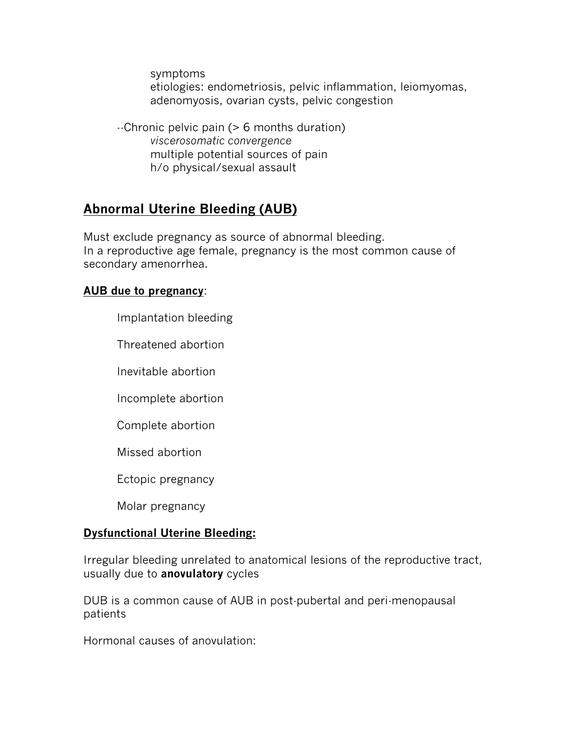symptoms etiologies: endometriosis, pelvic inflammation, leiomyomas, adenomyosis, ovarian cysts, pelvic congestion

--Chronic pelvic pain (> 6 months duration) *viscerosomatic convergence* multiple potential sources of pain h/o physical/sexual assault

# **Abnormal Uterine Bleeding (AUB)**

Must exclude pregnancy as source of abnormal bleeding. In a reproductive age female, pregnancy is the most common cause of secondary amenorrhea.

### **AUB due to pregnancy**:

Implantation bleeding

Threatened abortion

Inevitable abortion

Incomplete abortion

Complete abortion

Missed abortion

Ectopic pregnancy

Molar pregnancy

# **Dysfunctional Uterine Bleeding:**

Irregular bleeding unrelated to anatomical lesions of the reproductive tract, usually due to **anovulatory** cycles

DUB is a common cause of AUB in post-pubertal and peri-menopausal patients

Hormonal causes of anovulation: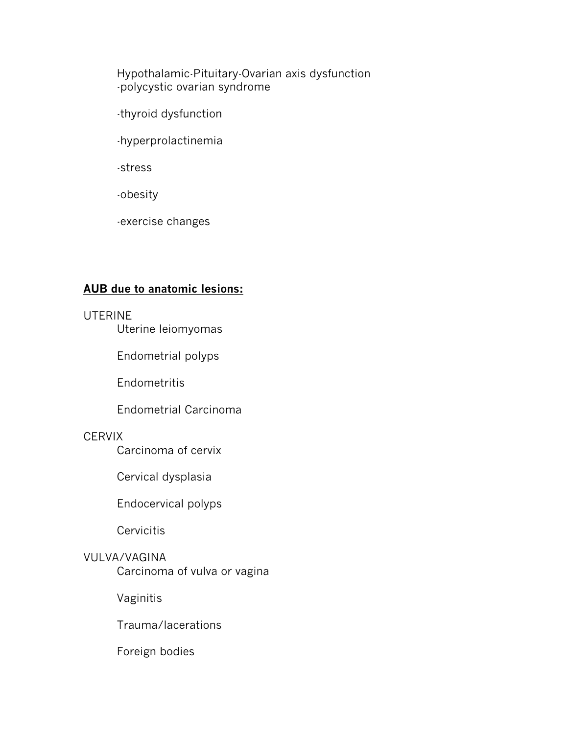Hypothalamic-Pituitary-Ovarian axis dysfunction -polycystic ovarian syndrome

-thyroid dysfunction

-hyperprolactinemia

-stress

-obesity

-exercise changes

# **AUB due to anatomic lesions:**

### UTERINE

Uterine leiomyomas

Endometrial polyps

**Endometritis** 

Endometrial Carcinoma

# **CERVIX**

Carcinoma of cervix

Cervical dysplasia

Endocervical polyps

**Cervicitis** 

# VULVA/VAGINA

Carcinoma of vulva or vagina

Vaginitis

Trauma/lacerations

Foreign bodies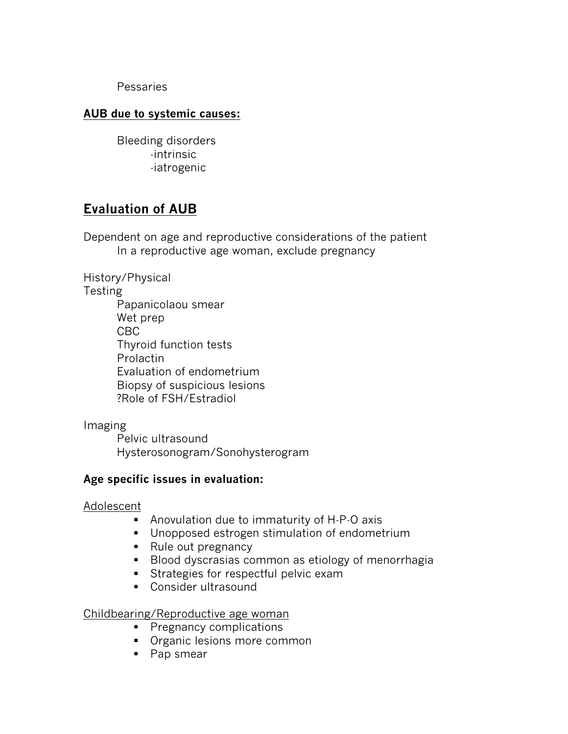Pessaries

### **AUB due to systemic causes:**

Bleeding disorders -intrinsic -iatrogenic

# **Evaluation of AUB**

Dependent on age and reproductive considerations of the patient In a reproductive age woman, exclude pregnancy

History/Physical **Testing** Papanicolaou smear Wet prep CBC Thyroid function tests Prolactin Evaluation of endometrium Biopsy of suspicious lesions ?Role of FSH/Estradiol

Imaging

Pelvic ultrasound Hysterosonogram/Sonohysterogram

### **Age specific issues in evaluation:**

#### Adolescent

- Anovulation due to immaturity of H-P-O axis
- **Unopposed estrogen stimulation of endometrium**
- Rule out pregnancy
- **Blood dyscrasias common as etiology of menorrhagia**
- **Strategies for respectful pelvic exam**
- **Consider ultrasound**

Childbearing/Reproductive age woman

- **Pregnancy complications**
- **•** Organic lesions more common
- Pap smear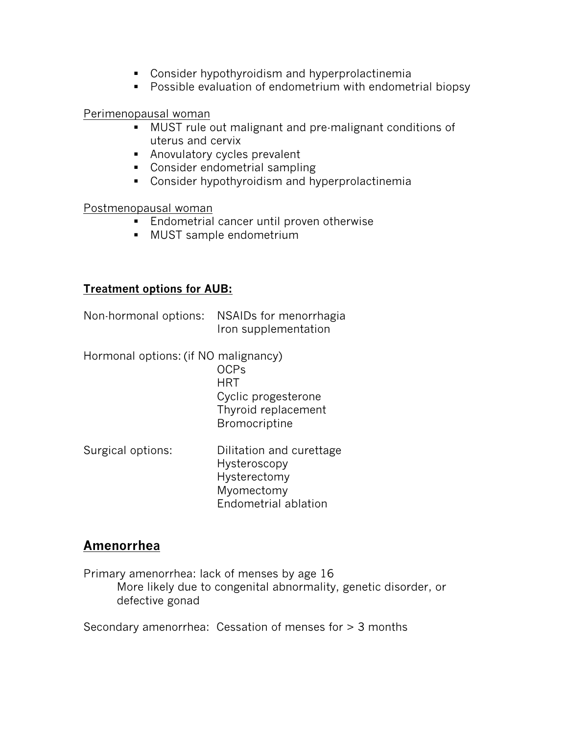- Consider hypothyroidism and hyperprolactinemia
- **Possible evaluation of endometrium with endometrial biopsy**

### Perimenopausal woman

- MUST rule out malignant and pre-malignant conditions of uterus and cervix
- Anovulatory cycles prevalent
- **Consider endometrial sampling**
- Consider hypothyroidism and hyperprolactinemia

### Postmenopausal woman

- **Endometrial cancer until proven otherwise**
- MUST sample endometrium

# **Treatment options for AUB:**

| Non-hormonal options: NSAIDs for menorrhagia |
|----------------------------------------------|
| Iron supplementation                         |

Hormonal options: (if NO malignancy)

OCPs **HRT** Cyclic progesterone Thyroid replacement Bromocriptine

Surgical options: Dilitation and curettage Hysteroscopy Hysterectomy Myomectomy Endometrial ablation

# **Amenorrhea**

Primary amenorrhea: lack of menses by age 16 More likely due to congenital abnormality, genetic disorder, or defective gonad

Secondary amenorrhea: Cessation of menses for > 3 months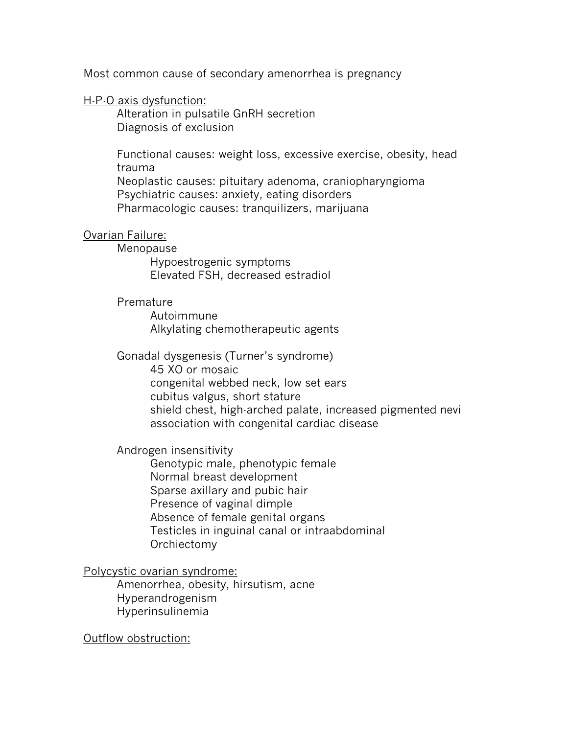#### Most common cause of secondary amenorrhea is pregnancy

#### H-P-O axis dysfunction:

Alteration in pulsatile GnRH secretion Diagnosis of exclusion

Functional causes: weight loss, excessive exercise, obesity, head trauma

Neoplastic causes: pituitary adenoma, craniopharyngioma Psychiatric causes: anxiety, eating disorders Pharmacologic causes: tranquilizers, marijuana

#### Ovarian Failure:

Menopause

Hypoestrogenic symptoms Elevated FSH, decreased estradiol

### Premature

Autoimmune Alkylating chemotherapeutic agents

Gonadal dysgenesis (Turner's syndrome)

45 XO or mosaic congenital webbed neck, low set ears cubitus valgus, short stature shield chest, high-arched palate, increased pigmented nevi association with congenital cardiac disease

#### Androgen insensitivity

Genotypic male, phenotypic female Normal breast development Sparse axillary and pubic hair Presence of vaginal dimple Absence of female genital organs Testicles in inguinal canal or intraabdominal Orchiectomy

#### Polycystic ovarian syndrome:

Amenorrhea, obesity, hirsutism, acne Hyperandrogenism Hyperinsulinemia

Outflow obstruction: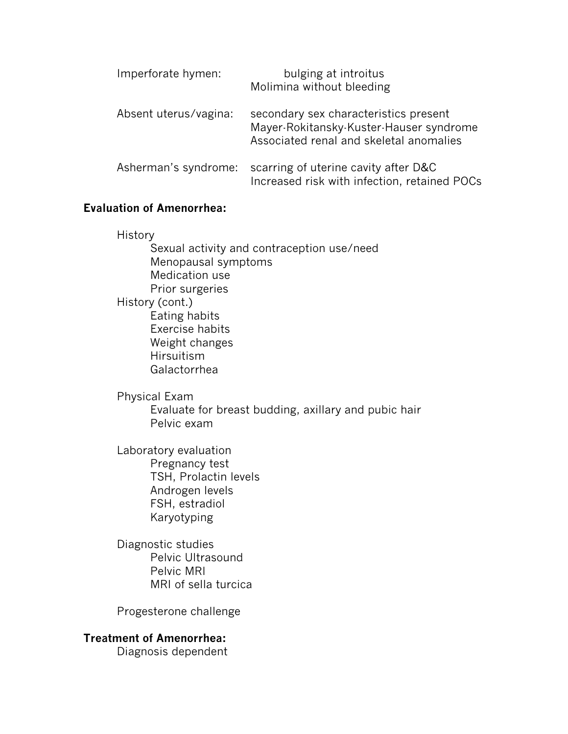| Imperforate hymen:    | bulging at introitus<br>Molimina without bleeding                                                                           |
|-----------------------|-----------------------------------------------------------------------------------------------------------------------------|
| Absent uterus/vagina: | secondary sex characteristics present<br>Mayer-Rokitansky-Kuster-Hauser syndrome<br>Associated renal and skeletal anomalies |
| Asherman's syndrome:  | scarring of uterine cavity after D&C<br>Increased risk with infection, retained POCs                                        |

### **Evaluation of Amenorrhea:**

History

Sexual activity and contraception use/need Menopausal symptoms Medication use Prior surgeries History (cont.) Eating habits Exercise habits Weight changes Hirsuitism Galactorrhea

Physical Exam Evaluate for breast budding, axillary and pubic hair Pelvic exam

Laboratory evaluation Pregnancy test TSH, Prolactin levels Androgen levels FSH, estradiol Karyotyping

Diagnostic studies Pelvic Ultrasound Pelvic MRI MRI of sella turcica

Progesterone challenge

#### **Treatment of Amenorrhea:**

Diagnosis dependent